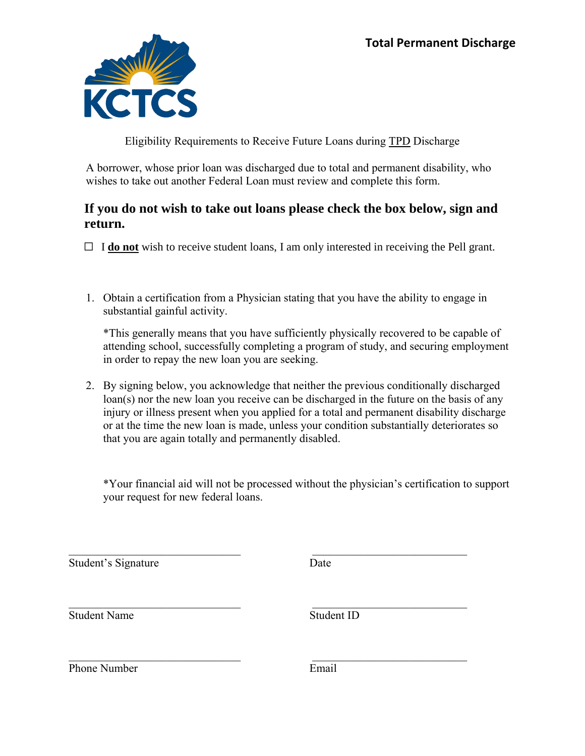

Eligibility Requirements to Receive Future Loans during TPD Discharge

A borrower, whose prior loan was discharged due to total and permanent disability, who wishes to take out another Federal Loan must review and complete this form.

## **If you do not wish to take out loans please check the box below, sign and return.**

 $\Box$  **I do not** wish to receive student loans, I am only interested in receiving the Pell grant.

1. Obtain a certification from a Physician stating that you have the ability to engage in substantial gainful activity.

\*This generally means that you have sufficiently physically recovered to be capable of attending school, successfully completing a program of study, and securing employment in order to repay the new loan you are seeking.

2. By signing below, you acknowledge that neither the previous conditionally discharged loan(s) nor the new loan you receive can be discharged in the future on the basis of any injury or illness present when you applied for a total and permanent disability discharge or at the time the new loan is made, unless your condition substantially deteriorates so that you are again totally and permanently disabled.

\*Your financial aid will not be processed without the physician's certification to support your request for new federal loans.

Student's Signature Date

Student Name Student ID

Phone Number **Email**